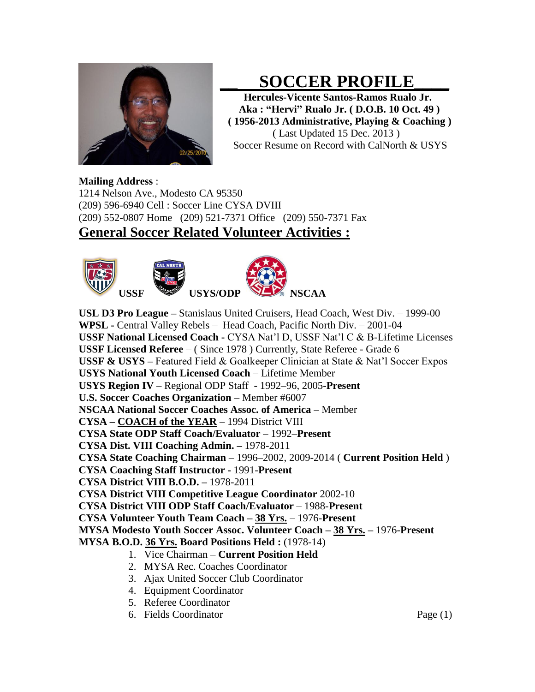

# **\_\_ SOCCER PROFILE\_\_\_\_**

 **Hercules-Vicente Santos-Ramos Rualo Jr. Aka : "Hervi" Rualo Jr. ( D.O.B. 10 Oct. 49 ) ( 1956-2013 Administrative, Playing & Coaching )** ( Last Updated 15 Dec. 2013 ) Soccer Resume on Record with CalNorth & USYS

#### **Mailing Address** :

1214 Nelson Ave., Modesto CA 95350 (209) 596-6940 Cell : Soccer Line CYSA DVIII (209) 552-0807 Home (209) 521-7371 Office (209) 550-7371 Fax

### **General Soccer Related Volunteer Activities :**



**USL D3 Pro League –** Stanislaus United Cruisers, Head Coach, West Div. – 1999-00 **WPSL -** Central Valley Rebels – Head Coach, Pacific North Div. – 2001-04 **USSF National Licensed Coach -** CYSA Nat'l D, USSF Nat'l C & B-Lifetime Licenses **USSF Licensed Referee** – (Since 1978) Currently, State Referee - Grade 6 **USSF & USYS –** Featured Field & Goalkeeper Clinician at State & Nat'l Soccer Expos **USYS National Youth Licensed Coach** – Lifetime Member **USYS Region IV** – Regional ODP Staff - 1992–96, 2005-**Present U.S. Soccer Coaches Organization** – Member #6007 **NSCAA National Soccer Coaches Assoc. of America – Member CYSA – COACH of the YEAR** – 1994 District VIII **CYSA State ODP Staff Coach/Evaluator** – 1992–**Present CYSA Dist. VIII Coaching Admin. –** 1978-2011 **CYSA State Coaching Chairman** – 1996–2002, 2009-2014 ( **Current Position Held** ) **CYSA Coaching Staff Instructor -** 1991-**Present CYSA District VIII B.O.D. –** 1978-2011 **CYSA District VIII Competitive League Coordinator** 2002-10 **CYSA District VIII ODP Staff Coach/Evaluator** – 1988-**Present CYSA Volunteer Youth Team Coach – 38 Yrs.** – 1976-**Present MYSA Modesto Youth Soccer Assoc. Volunteer Coach – 38 Yrs. –** 1976-**Present MYSA B.O.D. 36 Yrs. Board Positions Held :** (1978-14) 1. Vice Chairman – **Current Position Held**

- 2. MYSA Rec. Coaches Coordinator
- 3. Ajax United Soccer Club Coordinator
- 4. Equipment Coordinator
- 5. Referee Coordinator
- 6. Fields Coordinator Page (1)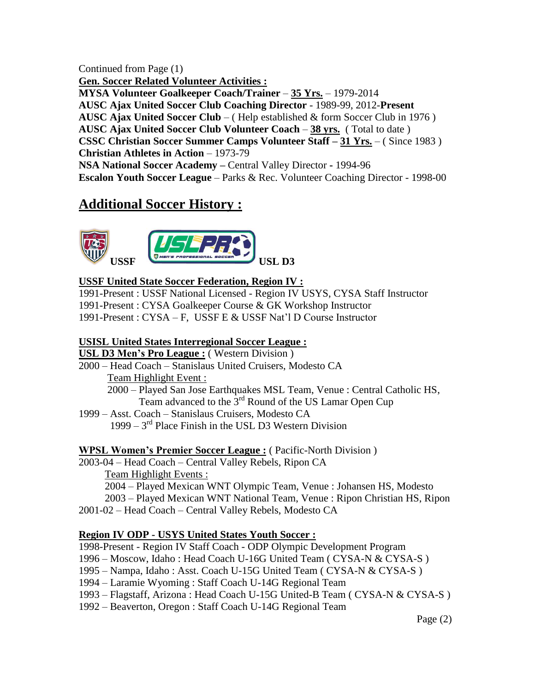Continued from Page (1) **Gen. Soccer Related Volunteer Activities : MYSA Volunteer Goalkeeper Coach/Trainer** – **35 Yrs.** – 1979-2014 **AUSC Ajax United Soccer Club Coaching Director** - 1989-99, 2012-**Present AUSC Ajax United Soccer Club** – ( Help established & form Soccer Club in 1976 ) **AUSC Ajax United Soccer Club Volunteer Coach** – **38 yrs.** ( Total to date ) **CSSC Christian Soccer Summer Camps Volunteer Staff – 31 Yrs.** – ( Since 1983 ) **Christian Athletes in Action** – 1973-79 **NSA National Soccer Academy –** Central Valley Director **-** 1994-96 **Escalon Youth Soccer League** – Parks & Rec. Volunteer Coaching Director - 1998-00

## **Additional Soccer History :**



### **USSF United State Soccer Federation, Region IV :**

1991-Present : USSF National Licensed - Region IV USYS, CYSA Staff Instructor 1991-Present : CYSA Goalkeeper Course & GK Workshop Instructor 1991-Present : CYSA – F, USSF E & USSF Nat'l D Course Instructor

#### **USISL United States Interregional Soccer League :**

#### **USL D3 Men's Pro League :** ( Western Division )

2000 – Head Coach – Stanislaus United Cruisers, Modesto CA Team Highlight Event :

 2000 – Played San Jose Earthquakes MSL Team, Venue : Central Catholic HS, Team advanced to the  $3<sup>rd</sup>$  Round of the US Lamar Open Cup

1999 – Asst. Coach – Stanislaus Cruisers, Modesto CA  $1999 - 3<sup>rd</sup>$  Place Finish in the USL D3 Western Division

### **WPSL Women's Premier Soccer League :** ( Pacific-North Division )

2003-04 – Head Coach – Central Valley Rebels, Ripon CA

 Team Highlight Events : 2004 – Played Mexican WNT Olympic Team, Venue : Johansen HS, Modesto 2003 – Played Mexican WNT National Team, Venue : Ripon Christian HS, Ripon 2001-02 – Head Coach – Central Valley Rebels, Modesto CA

### **Region IV ODP - USYS United States Youth Soccer :**

1998-Present - Region IV Staff Coach - ODP Olympic Development Program

1996 – Moscow, Idaho : Head Coach U-16G United Team ( CYSA-N & CYSA-S )

- 1995 Nampa, Idaho : Asst. Coach U-15G United Team ( CYSA-N & CYSA-S )
- 1994 Laramie Wyoming : Staff Coach U-14G Regional Team
- 1993 Flagstaff, Arizona : Head Coach U-15G United-B Team ( CYSA-N & CYSA-S )
- 1992 Beaverton, Oregon : Staff Coach U-14G Regional Team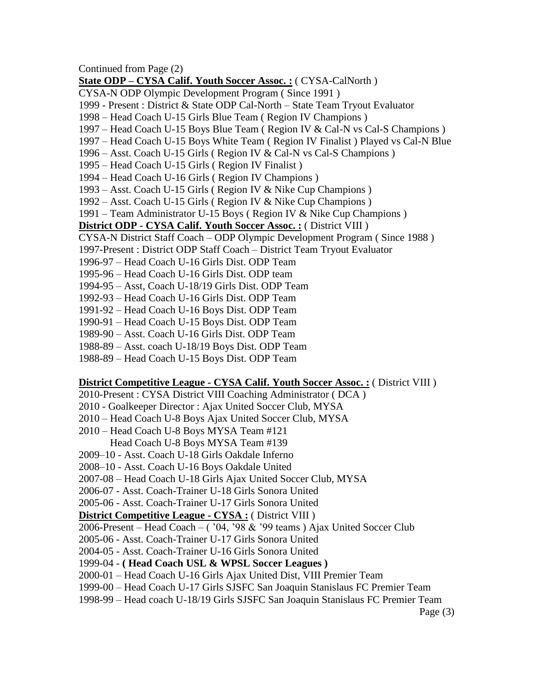Continued from Page (2) **State ODP – CYSA Calif. Youth Soccer Assoc. :** ( CYSA-CalNorth ) CYSA-N ODP Olympic Development Program ( Since 1991 ) 1999 - Present : District & State ODP Cal-North – State Team Tryout Evaluator 1998 – Head Coach U-15 Girls Blue Team ( Region IV Champions ) 1997 – Head Coach U-15 Boys Blue Team ( Region IV & Cal-N vs Cal-S Champions ) 1997 – Head Coach U-15 Boys White Team ( Region IV Finalist ) Played vs Cal-N Blue 1996 – Asst. Coach U-15 Girls ( Region IV & Cal-N vs Cal-S Champions ) 1995 – Head Coach U-15 Girls ( Region IV Finalist ) 1994 – Head Coach U-16 Girls ( Region IV Champions ) 1993 – Asst. Coach U-15 Girls ( Region IV & Nike Cup Champions ) 1992 – Asst. Coach U-15 Girls ( Region IV & Nike Cup Champions ) 1991 – Team Administrator U-15 Boys ( Region IV & Nike Cup Champions ) **District ODP - CYSA Calif. Youth Soccer Assoc. :** ( District VIII ) CYSA-N District Staff Coach – ODP Olympic Development Program ( Since 1988 ) 1997-Present : District ODP Staff Coach – District Team Tryout Evaluator 1996-97 – Head Coach U-16 Girls Dist. ODP Team 1995-96 – Head Coach U-16 Girls Dist. ODP team 1994-95 – Asst, Coach U-18/19 Girls Dist. ODP Team 1992-93 – Head Coach U-16 Girls Dist. ODP Team 1991-92 – Head Coach U-16 Boys Dist. ODP Team 1990-91 – Head Coach U-15 Boys Dist. ODP Team 1989-90 – Asst. Coach U-16 Girls Dist. ODP Team 1988-89 – Asst. coach U-18/19 Boys Dist. ODP Team

1988-89 – Head Coach U-15 Boys Dist. ODP Team

#### **District Competitive League - CYSA Calif. Youth Soccer Assoc. :** ( District VIII )

- 2010-Present : CYSA District VIII Coaching Administrator ( DCA )
- 2010 Goalkeeper Director : Ajax United Soccer Club, MYSA
- 2010 Head Coach U-8 Boys Ajax United Soccer Club, MYSA
- 2010 Head Coach U-8 Boys MYSA Team #121
	- Head Coach U-8 Boys MYSA Team #139
- 2009–10 Asst. Coach U-18 Girls Oakdale Inferno
- 2008–10 Asst. Coach U-16 Boys Oakdale United
- 2007-08 Head Coach U-18 Girls Ajax United Soccer Club, MYSA
- 2006-07 Asst. Coach-Trainer U-18 Girls Sonora United
- 2005-06 Asst. Coach-Trainer U-17 Girls Sonora United

#### **District Competitive League - CYSA :** ( District VIII )

- 2006-Present Head Coach ( $0.94$ ,  $98 \& 99$  teams) Ajax United Soccer Club
- 2005-06 Asst. Coach-Trainer U-17 Girls Sonora United
- 2004-05 Asst. Coach-Trainer U-16 Girls Sonora United
- 1999-04 **( Head Coach USL & WPSL Soccer Leagues )**
- 2000-01 Head Coach U-16 Girls Ajax United Dist, VIII Premier Team
- 1999-00 Head Coach U-17 Girls SJSFC San Joaquin Stanislaus FC Premier Team
- 1998-99 Head coach U-18/19 Girls SJSFC San Joaquin Stanislaus FC Premier Team

Page (3)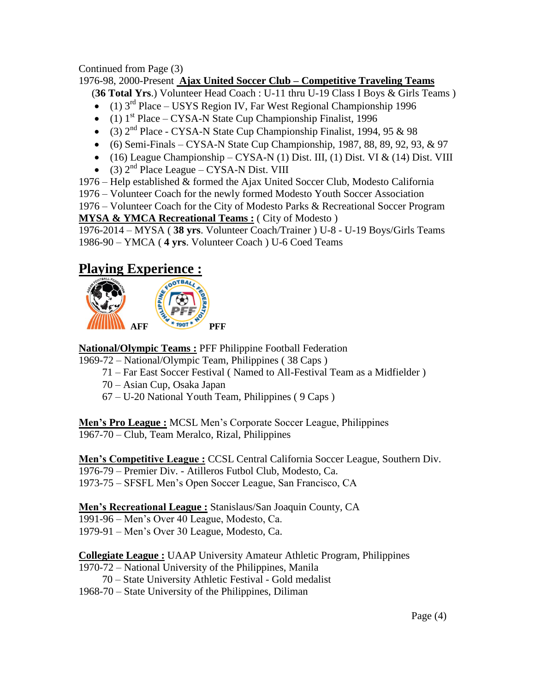Continued from Page (3)

1976-98, 2000-Present **Ajax United Soccer Club – Competitive Traveling Teams** 

(**36 Total Yrs**.) Volunteer Head Coach : U-11 thru U-19 Class I Boys & Girls Teams )

- $\bullet$  (1) 3<sup>rd</sup> Place USYS Region IV, Far West Regional Championship 1996
- $\bullet$  (1) 1<sup>st</sup> Place CYSA-N State Cup Championship Finalist, 1996
- (3)  $2<sup>nd</sup>$  Place CYSA-N State Cup Championship Finalist, 1994, 95 & 98
- $\bullet$  (6) Semi-Finals CYSA-N State Cup Championship, 1987, 88, 89, 92, 93, & 97
- $(16)$  League Championship CYSA-N (1) Dist. III, (1) Dist. VI & (14) Dist. VIII
- $\bullet$  (3)  $2<sup>nd</sup>$  Place League CYSA-N Dist. VIII
- 1976 Help established & formed the Ajax United Soccer Club, Modesto California

1976 – Volunteer Coach for the newly formed Modesto Youth Soccer Association

1976 – Volunteer Coach for the City of Modesto Parks & Recreational Soccer Program **MYSA & YMCA Recreational Teams :** ( City of Modesto )

1976-2014 – MYSA ( **38 yrs**. Volunteer Coach/Trainer ) U-8 - U-19 Boys/Girls Teams 1986-90 – YMCA ( **4 yrs**. Volunteer Coach ) U-6 Coed Teams

# **Playing Experience :**



**National/Olympic Teams :** PFF Philippine Football Federation

- 1969-72 National/Olympic Team, Philippines ( 38 Caps )
	- 71 Far East Soccer Festival ( Named to All-Festival Team as a Midfielder )
	- 70 Asian Cup, Osaka Japan
	- 67 U-20 National Youth Team, Philippines ( 9 Caps )

**Men's Pro League :** MCSL Men's Corporate Soccer League, Philippines 1967-70 – Club, Team Meralco, Rizal, Philippines

**Men's Competitive League :** CCSL Central California Soccer League, Southern Div. 1976-79 – Premier Div. - Atilleros Futbol Club, Modesto, Ca. 1973-75 – SFSFL Men's Open Soccer League, San Francisco, CA

**Men's Recreational League :** Stanislaus/San Joaquin County, CA

1991-96 – Men's Over 40 League, Modesto, Ca.

1979-91 – Men's Over 30 League, Modesto, Ca.

**Collegiate League :** UAAP University Amateur Athletic Program, Philippines

- 1970-72 National University of the Philippines, Manila
	- 70 State University Athletic Festival Gold medalist
- 1968-70 State University of the Philippines, Diliman